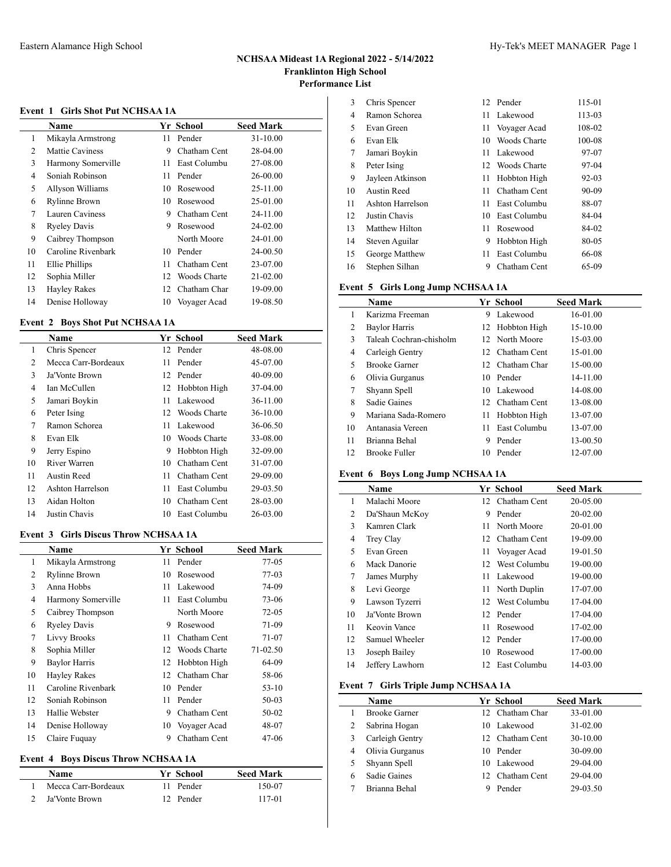## **Event 1 Girls Shot Put NCHSAA 1A**

|    | Name                 |    | Yr School    | <b>Seed Mark</b> |
|----|----------------------|----|--------------|------------------|
| 1  | Mikayla Armstrong    | 11 | Pender       | $31 - 10.00$     |
| 2  | Mattie Caviness      | 9  | Chatham Cent | 28-04.00         |
| 3  | Harmony Somerville   | 11 | East Columbu | 27-08.00         |
| 4  | Soniah Robinson      | 11 | Pender       | 26-00.00         |
| 5  | Allyson Williams     | 10 | Rosewood     | 25-11.00         |
| 6  | <b>Rylinne Brown</b> | 10 | Rosewood     | 25-01.00         |
| 7  | Lauren Caviness      | 9  | Chatham Cent | 24-11.00         |
| 8  | <b>Ryeley Davis</b>  | 9  | Rosewood     | 24-02.00         |
| 9  | Caibrey Thompson     |    | North Moore  | 24-01.00         |
| 10 | Caroline Rivenbark   | 10 | Pender       | 24-00.50         |
| 11 | Ellie Phillips       | 11 | Chatham Cent | 23-07.00         |
| 12 | Sophia Miller        | 12 | Woods Charte | $21 - 02.00$     |
| 13 | <b>Hayley Rakes</b>  | 12 | Chatham Char | 19-09.00         |
| 14 | Denise Holloway      | 10 | Voyager Acad | 19-08.50         |

# **Event 2 Boys Shot Put NCHSAA 1A**

|                | Name                |    | <b>Yr School</b> | <b>Seed Mark</b> |
|----------------|---------------------|----|------------------|------------------|
| 1              | Chris Spencer       | 12 | Pender           | 48-08.00         |
| $\overline{c}$ | Mecca Carr-Bordeaux | 11 | Pender           | 45-07.00         |
| 3              | Ja'Vonte Brown      | 12 | Pender           | 40-09.00         |
| 4              | Ian McCullen        | 12 | Hobbton High     | 37-04.00         |
| 5              | Jamari Boykin       | 11 | Lakewood         | 36-11.00         |
| 6              | Peter Ising         | 12 | Woods Charte     | $36 - 10.00$     |
| 7              | Ramon Schorea       | 11 | Lakewood         | 36-06.50         |
| 8              | Evan Elk            | 10 | Woods Charte     | 33-08.00         |
| 9              | Jerry Espino        | 9  | Hobbton High     | 32-09.00         |
| 10             | River Warren        | 10 | Chatham Cent     | 31-07.00         |
| 11             | Austin Reed         | 11 | Chatham Cent     | 29-09.00         |
| 12             | Ashton Harrelson    | 11 | East Columbu     | 29-03.50         |
| 13             | Aidan Holton        | 10 | Chatham Cent     | 28-03.00         |
| 14             | Justin Chavis       | 10 | East Columbu     | 26-03.00         |

### **Event 3 Girls Discus Throw NCHSAA 1A**

|    | <b>Name</b>          |    | Yr School    | <b>Seed Mark</b> |
|----|----------------------|----|--------------|------------------|
| 1  | Mikayla Armstrong    | 11 | Pender       | $77-05$          |
| 2  | <b>Rylinne Brown</b> | 10 | Rosewood     | $77-03$          |
| 3  | Anna Hobbs           | 11 | Lakewood     | 74-09            |
| 4  | Harmony Somerville   | 11 | East Columbu | 73-06            |
| 5  | Caibrey Thompson     |    | North Moore  | $72 - 05$        |
| 6  | <b>Ryeley Davis</b>  | 9  | Rosewood     | 71-09            |
| 7  | <b>Livvy Brooks</b>  | 11 | Chatham Cent | 71-07            |
| 8  | Sophia Miller        | 12 | Woods Charte | 71-02.50         |
| 9  | Baylor Harris        | 12 | Hobbton High | 64-09            |
| 10 | <b>Hayley Rakes</b>  | 12 | Chatham Char | 58-06            |
| 11 | Caroline Rivenbark   | 10 | Pender       | $53-10$          |
| 12 | Soniah Robinson      | 11 | Pender       | $50-03$          |
| 13 | Hallie Webster       | 9  | Chatham Cent | 50-02            |
| 14 | Denise Holloway      | 10 | Voyager Acad | 48-07            |
| 15 | Claire Fuquay        | 9  | Chatham Cent | 47-06            |

# **Event 4 Boys Discus Throw NCHSAA 1A**

| <b>Name</b>         | Yr School | <b>Seed Mark</b> |
|---------------------|-----------|------------------|
| Mecca Carr-Bordeaux | 11 Pender | 150-07           |
| Ja'Vonte Brown      | 12 Pender | 117-01           |

| 3  | Chris Spencer    |     | 12 Pender       | 115-01    |
|----|------------------|-----|-----------------|-----------|
| 4  | Ramon Schorea    | 11  | Lakewood        | 113-03    |
| 5  | Evan Green       | 11  | Voyager Acad    | 108-02    |
| 6  | Evan Elk         | 10  | Woods Charte    | 100-08    |
| 7  | Jamari Boykin    | 11. | Lakewood        | 97-07     |
| 8  | Peter Ising      |     | 12 Woods Charte | 97-04     |
| 9  | Jayleen Atkinson | 11  | Hobbton High    | $92 - 03$ |
| 10 | Austin Reed      | 11  | Chatham Cent    | 90-09     |
| 11 | Ashton Harrelson | 11  | East Columbu    | 88-07     |
| 12 | Justin Chavis    | 10  | East Columbu    | 84-04     |
| 13 | Matthew Hilton   | 11  | Rosewood        | 84-02     |
| 14 | Steven Aguilar   | 9   | Hobbton High    | 80-05     |
| 15 | George Matthew   | 11  | East Columbu    | 66-08     |
| 16 | Stephen Silhan   | 9   | Chatham Cent    | 65-09     |

# **Event 5 Girls Long Jump NCHSAA 1A**

|                | <b>Name</b>             |     | Yr School         | <b>Seed Mark</b> |
|----------------|-------------------------|-----|-------------------|------------------|
| 1              | Karizma Freeman         | 9   | Lakewood          | 16-01.00         |
| 2              | <b>Baylor Harris</b>    |     | 12 Hobbton High   | 15-10.00         |
| 3              | Taleah Cochran-chisholm |     | 12 North Moore    | 15-03.00         |
| $\overline{4}$ | Carleigh Gentry         | 12. | Chatham Cent      | 15-01.00         |
| 5              | <b>Brooke Garner</b>    | 12. | Chatham Char      | 15-00.00         |
| 6              | Olivia Gurganus         |     | 10 Pender         | 14-11.00         |
| 7              | Shyann Spell            |     | 10 Lakewood       | 14-08.00         |
| 8              | Sadie Gaines            |     | 12. Chatham Cent. | 13-08.00         |
| 9              | Mariana Sada-Romero     | 11  | Hobbton High      | 13-07.00         |
| 10             | Antanasia Vereen        | 11  | East Columbu      | 13-07.00         |
| 11             | Brianna Behal           | 9   | Pender            | 13-00.50         |
| 12             | <b>Brooke Fuller</b>    | 10  | Pender            | 12-07.00         |

## **Event 6 Boys Long Jump NCHSAA 1A**

|    | <b>Name</b>     |     | Yr School       | <b>Seed Mark</b> |
|----|-----------------|-----|-----------------|------------------|
| 1  | Malachi Moore   |     | 12 Chatham Cent | 20-05.00         |
| 2  | Da'Shaun McKoy  | 9   | Pender          | 20-02.00         |
| 3  | Kamren Clark    | 11. | North Moore     | 20-01.00         |
| 4  | Trey Clay       |     | 12 Chatham Cent | 19-09.00         |
| 5  | Evan Green      | 11  | Voyager Acad    | 19-01.50         |
| 6  | Mack Danorie    |     | 12 West Columbu | 19-00.00         |
| 7  | James Murphy    | 11. | Lakewood        | 19-00.00         |
| 8  | Levi George     | 11. | North Duplin    | 17-07.00         |
| 9  | Lawson Tyzerri  | 12  | West Columbu    | 17-04.00         |
| 10 | Ja'Vonte Brown  |     | 12 Pender       | 17-04.00         |
| 11 | Keovin Vance    | 11  | Rosewood        | 17-02.00         |
| 12 | Samuel Wheeler  |     | 12 Pender       | 17-00.00         |
| 13 | Joseph Bailey   | 10  | Rosewood        | 17-00.00         |
| 14 | Jeffery Lawhorn | 12  | East Columbu    | 14-03.00         |

# **Event 7 Girls Triple Jump NCHSAA 1A**

|   | <b>Name</b>          |     | Yr School        | <b>Seed Mark</b> |
|---|----------------------|-----|------------------|------------------|
|   | <b>Brooke Garner</b> | 12. | Chatham Char     | 33-01.00         |
| 2 | Sabrina Hogan        |     | 10 Lakewood      | 31-02.00         |
| 3 | Carleigh Gentry      |     | 12. Chatham Cent | 30-10.00         |
| 4 | Olivia Gurganus      | 10  | Pender           | 30-09.00         |
|   | Shyann Spell         |     | 10 Lakewood      | 29-04.00         |
| 6 | Sadie Gaines         | 12. | Chatham Cent     | 29-04.00         |
|   | Brianna Behal        |     | Pender           | 29-03.50         |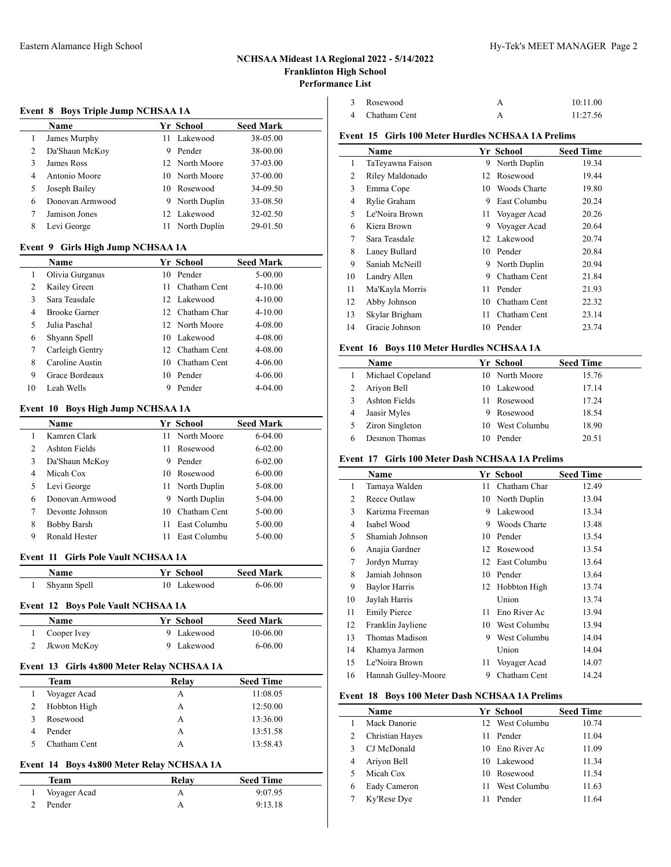### **Event 8 Boys Triple Jump NCHSAA 1A**

|   | Name            |    | Yr School      | <b>Seed Mark</b> |  |  |  |
|---|-----------------|----|----------------|------------------|--|--|--|
|   | James Murphy    | 11 | Lakewood       | 38-05.00         |  |  |  |
| 2 | Da'Shaun McKoy  | 9  | Pender         | 38-00.00         |  |  |  |
| 3 | James Ross      |    | 12 North Moore | 37-03.00         |  |  |  |
| 4 | Antonio Moore   |    | 10 North Moore | 37-00.00         |  |  |  |
| 5 | Joseph Bailey   | 10 | Rosewood       | 34-09.50         |  |  |  |
| 6 | Donovan Armwood | 9  | North Duplin   | 33-08.50         |  |  |  |
|   | Jamison Jones   |    | 12 Lakewood    | 32-02.50         |  |  |  |
| 8 | Levi George     | 11 | North Duplin   | 29-01.50         |  |  |  |
|   |                 |    |                |                  |  |  |  |

# **Event 9 Girls High Jump NCHSAA 1A**

|    | Name                 |    | Yr School        | <b>Seed Mark</b> |
|----|----------------------|----|------------------|------------------|
| 1  | Olivia Gurganus      | 10 | Pender           | $5 - 00.00$      |
| 2  | Kailey Green         | 11 | Chatham Cent     | $4 - 10.00$      |
| 3  | Sara Teasdale        |    | 12 Lakewood      | $4 - 10.00$      |
| 4  | <b>Brooke Garner</b> |    | 12. Chatham Char | $4 - 10.00$      |
| 5  | Julia Paschal        |    | 12 North Moore   | 4-08.00          |
| 6  | Shyann Spell         |    | 10 Lakewood      | 4-08.00          |
| 7  | Carleigh Gentry      |    | 12 Chatham Cent  | 4-08.00          |
| 8  | Caroline Austin      | 10 | Chatham Cent     | $4 - 06.00$      |
| 9  | Grace Bordeaux       | 10 | Pender           | $4 - 06.00$      |
| 10 | Leah Wells           | 9  | Pender           | $4 - 04.00$      |

# **Event 10 Boys High Jump NCHSAA 1A**

|                | <b>Name</b>     |     | Yr School       | <b>Seed Mark</b> |  |  |
|----------------|-----------------|-----|-----------------|------------------|--|--|
|                | Kamren Clark    | 11. | North Moore     | $6 - 04.00$      |  |  |
| $\mathfrak{D}$ | Ashton Fields   | 11. | Rosewood        | $6 - 02.00$      |  |  |
| 3              | Da'Shaun McKoy  | 9   | Pender          | $6 - 02.00$      |  |  |
| 4              | Micah Cox       | 10. | Rosewood        | $6 - 00.00$      |  |  |
| 5              | Levi George     |     | 11 North Duplin | 5-08.00          |  |  |
| 6              | Donovan Armwood | 9   | North Duplin    | 5-04.00          |  |  |
| 7              | Devonte Johnson | 10  | Chatham Cent    | $5 - 00.00$      |  |  |
| 8              | Bobby Barsh     | 11  | East Columbu    | $5 - 00.00$      |  |  |
| 9              | Ronald Hester   |     | East Columbu    | $5 - 00.00$      |  |  |
|                |                 |     |                 |                  |  |  |

#### **Event 11 Girls Pole Vault NCHSAA 1A**

| Name         | Yr School   | <b>Seed Mark</b> |  |
|--------------|-------------|------------------|--|
| Shyann Spell | 10 Lakewood | 6-06.00          |  |

#### **Event 12 Boys Pole Vault NCHSAA 1A**

| Name        | Yr School  | <b>Seed Mark</b> |
|-------------|------------|------------------|
| Cooper Ivey | 9 Lakewood | 10-06.00         |
| Jkwon McKoy | 9 Lakewood | 6-06.00          |
|             |            |                  |

# **Event 13 Girls 4x800 Meter Relay NCHSAA 1A**

| Team         | Relay | <b>Seed Time</b> |
|--------------|-------|------------------|
| Voyager Acad | A     | 11:08.05         |
| Hobbton High | A     | 12:50.00         |
| Rosewood     | А     | 13:36.00         |
| Pender       | A     | 13:51.58         |
| Chatham Cent |       | 13:58.43         |

## **Event 14 Boys 4x800 Meter Relay NCHSAA 1A**

| Team           | Relay | <b>Seed Time</b> |  |
|----------------|-------|------------------|--|
| 1 Voyager Acad |       | 9:07.95          |  |
| Pender         |       | 9:13.18          |  |

| 3 Rosewood     | 10:11.00 |
|----------------|----------|
| 4 Chatham Cent | 11:27.56 |

## **Event 15 Girls 100 Meter Hurdles NCHSAA 1A Prelims**

|    | <b>Name</b>      |     | Yr School       | <b>Seed Time</b> |
|----|------------------|-----|-----------------|------------------|
| 1  | TaTeyawna Faison | 9   | North Duplin    | 19.34            |
| 2  | Riley Maldonado  | 12  | Rosewood        | 19.44            |
| 3  | Emma Cope        | 10. | Woods Charte    | 19.80            |
| 4  | Rylie Graham     | 9   | East Columbu    | 20.24            |
| 5  | Le'Noira Brown   |     | 11 Voyager Acad | 20.26            |
| 6  | Kiera Brown      | 9.  | Voyager Acad    | 20.64            |
| 7  | Sara Teasdale    |     | 12 Lakewood     | 20.74            |
| 8  | Laney Bullard    | 10  | Pender          | 20.84            |
| 9  | Saniah McNeill   | 9   | North Duplin    | 20.94            |
| 10 | Landry Allen     | 9   | Chatham Cent    | 21.84            |
| 11 | Ma'Kayla Morris  | 11  | Pender          | 21.93            |
| 12 | Abby Johnson     | 10  | Chatham Cent    | 22.32            |
| 13 | Skylar Brigham   | 11  | Chatham Cent    | 23.14            |
| 14 | Gracie Johnson   | 10  | Pender          | 23.74            |

## **Event 16 Boys 110 Meter Hurdles NCHSAA 1A**

|   | <b>Name</b>      |    | Yr School      | <b>Seed Time</b> |  |
|---|------------------|----|----------------|------------------|--|
|   | Michael Copeland |    | 10 North Moore | 15.76            |  |
|   | Ariyon Bell      |    | 10 Lakewood    | 17.14            |  |
|   | Ashton Fields    |    | 11 Rosewood    | 17.24            |  |
| 4 | Jaasir Myles     | 9. | Rosewood       | 18.54            |  |
|   | Ziron Singleton  | 10 | West Columbu   | 18.90            |  |
|   | Desmon Thomas    |    | Pender         | 20.51            |  |

#### **Event 17 Girls 100 Meter Dash NCHSAA 1A Prelims**

|                | Name                |    | Yr School    | <b>Seed Time</b> |
|----------------|---------------------|----|--------------|------------------|
| 1              | Tamaya Walden       | 11 | Chatham Char | 12.49            |
| $\overline{c}$ | Reece Outlaw        | 10 | North Duplin | 13.04            |
| 3              | Karizma Freeman     | 9  | Lakewood     | 13.34            |
| 4              | Isabel Wood         | 9  | Woods Charte | 13.48            |
| 5              | Shamiah Johnson     | 10 | Pender       | 13.54            |
| 6              | Anajia Gardner      | 12 | Rosewood     | 13.54            |
| 7              | Jordyn Murray       | 12 | East Columbu | 13.64            |
| 8              | Jamiah Johnson      | 10 | Pender       | 13.64            |
| 9              | Baylor Harris       | 12 | Hobbton High | 13.74            |
| 10             | Jaylah Harris       |    | Union        | 13.74            |
| 11             | <b>Emily Pierce</b> | 11 | Eno River Ac | 13.94            |
| 12             | Franklin Jayliene   | 10 | West Columbu | 13.94            |
| 13             | Thomas Madison      | 9  | West Columbu | 14.04            |
| 14             | Khamya Jarmon       |    | Union        | 14.04            |
| 15             | Le'Noira Brown      | 11 | Voyager Acad | 14.07            |
| 16             | Hannah Gulley-Moore | 9  | Chatham Cent | 14.24            |

## **Event 18 Boys 100 Meter Dash NCHSAA 1A Prelims**

|   | <b>Name</b>     |     | Yr School       | <b>Seed Time</b> |
|---|-----------------|-----|-----------------|------------------|
|   | Mack Danorie    |     | 12 West Columbu | 10.74            |
| 2 | Christian Hayes |     | 11 Pender       | 11.04            |
| 3 | CJ McDonald     |     | 10 Eno River Ac | 11.09            |
| 4 | Ariyon Bell     |     | 10 Lakewood     | 11.34            |
| 5 | Micah Cox       |     | 10 Rosewood     | 11.54            |
| 6 | Eady Cameron    | 11. | West Columbu    | 11.63            |
|   | Ky'Rese Dye     |     | Pender          | 11.64            |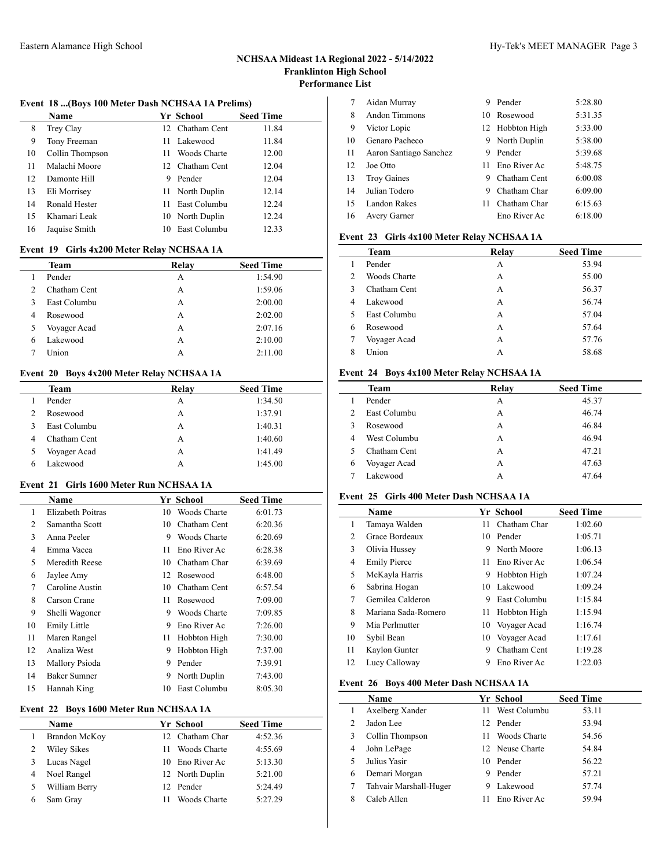#### **Event 18 ...(Boys 100 Meter Dash NCHSAA 1A Prelims)**

|    | Name            |     | Yr School        | <b>Seed Time</b> |
|----|-----------------|-----|------------------|------------------|
| 8  | Trey Clay       |     | 12 Chatham Cent  | 11.84            |
| 9  | Tony Freeman    | 11  | Lakewood         | 11.84            |
| 10 | Collin Thompson | 11  | Woods Charte     | 12.00            |
| 11 | Malachi Moore   |     | 12. Chatham Cent | 12.04            |
| 12 | Damonte Hill    | 9   | Pender           | 12.04            |
| 13 | Eli Morrisey    | 11  | North Duplin     | 12.14            |
| 14 | Ronald Hester   | 11  | East Columbu     | 12.24            |
| 15 | Khamari Leak    |     | 10 North Duplin  | 12.24            |
| 16 | Jaquise Smith   | 10. | East Columbu     | 12.33            |
|    |                 |     |                  |                  |

# **Event 19 Girls 4x200 Meter Relay NCHSAA 1A**

|   | $\cdots$ $\cdots$ |       |                  |
|---|-------------------|-------|------------------|
|   | Team              | Relay | <b>Seed Time</b> |
|   | Pender            | А     | 1:54.90          |
| 2 | Chatham Cent      | А     | 1:59.06          |
| 3 | East Columbu      | A     | 2:00.00          |
| 4 | Rosewood          | А     | 2:02.00          |
| 5 | Voyager Acad      | А     | 2:07.16          |
| 6 | Lakewood          | А     | 2:10.00          |
|   | Union             | А     | 2:11.00          |
|   |                   |       |                  |

# **Event 20 Boys 4x200 Meter Relay NCHSAA 1A**

| Team         | Relay | <b>Seed Time</b> |
|--------------|-------|------------------|
| Pender       | А     | 1:34.50          |
| Rosewood     | А     | 1:37.91          |
| East Columbu | А     | 1:40.31          |
| Chatham Cent | А     | 1:40.60          |
| Voyager Acad | А     | 1:41.49          |
| Lakewood     |       | 1:45.00          |

#### **Event 21 Girls 1600 Meter Run NCHSAA 1A**

 $\overline{a}$ 

|    | Name              |    | Yr School    | <b>Seed Time</b> |
|----|-------------------|----|--------------|------------------|
| 1  | Elizabeth Poitras | 10 | Woods Charte | 6:01.73          |
| 2  | Samantha Scott    | 10 | Chatham Cent | 6:20.36          |
| 3  | Anna Peeler       | 9  | Woods Charte | 6:20.69          |
| 4  | Emma Vacca        | 11 | Eno River Ac | 6:28.38          |
| 5  | Meredith Reese    | 10 | Chatham Char | 6:39.69          |
| 6  | Jaylee Amy        | 12 | Rosewood     | 6:48.00          |
| 7  | Caroline Austin   | 10 | Chatham Cent | 6:57.54          |
| 8  | Carson Crane      | 11 | Rosewood     | 7:09.00          |
| 9  | Shelli Wagoner    | 9  | Woods Charte | 7:09.85          |
| 10 | Emily Little      | 9  | Eno River Ac | 7:26.00          |
| 11 | Maren Rangel      | 11 | Hobbton High | 7:30.00          |
| 12 | Analiza West      | 9  | Hobbton High | 7:37.00          |
| 13 | Mallory Psioda    | 9  | Pender       | 7:39.91          |
| 14 | Baker Sumner      | 9  | North Duplin | 7:43.00          |
| 15 | Hannah King       | 10 | East Columbu | 8:05.30          |

## **Event 22 Boys 1600 Meter Run NCHSAA 1A**

| Name               |    | Yr School       | <b>Seed Time</b> |
|--------------------|----|-----------------|------------------|
| Brandon McKoy      |    | 12 Chatham Char | 4:52.36          |
| <b>Wiley Sikes</b> | 11 | Woods Charte    | 4:55.69          |
| Lucas Nagel        |    | 10 Eno River Ac | 5:13.30          |
| Noel Rangel        |    | 12 North Duplin | 5:21.00          |
| William Berry      |    | 12 Pender       | 5:24.49          |
| Sam Gray           | 11 | Woods Charte    | 5:27.29          |
|                    |    |                 |                  |

| 7  | Aidan Murray           | 9  | Pender          | 5:28.80 |
|----|------------------------|----|-----------------|---------|
| 8  | Andon Timmons          |    | 10 Rosewood     | 5:31.35 |
| 9  | Victor Lopic           |    | 12 Hobbton High | 5:33.00 |
| 10 | Genaro Pacheco         | 9. | North Duplin    | 5:38.00 |
| 11 | Aaron Santiago Sanchez | 9  | Pender          | 5:39.68 |
| 12 | Joe Otto               | 11 | Eno River Ac    | 5:48.75 |
| 13 | <b>Troy Gaines</b>     | 9  | Chatham Cent    | 6:00.08 |
| 14 | Julian Todero          | 9  | Chatham Char    | 6:09.00 |
| 15 | Landon Rakes           | 11 | Chatham Char    | 6:15.63 |
| 16 | Avery Garner           |    | Eno River Ac    | 6:18.00 |

## **Event 23 Girls 4x100 Meter Relay NCHSAA 1A**

|               | Team         | Relay | <b>Seed Time</b> |
|---------------|--------------|-------|------------------|
|               | Pender       | А     | 53.94            |
| $\mathcal{L}$ | Woods Charte | A     | 55.00            |
| 3             | Chatham Cent | А     | 56.37            |
| 4             | Lakewood     | А     | 56.74            |
| 5             | East Columbu | А     | 57.04            |
| 6             | Rosewood     | А     | 57.64            |
| 7             | Voyager Acad | А     | 57.76            |
| 8             | Union        | А     | 58.68            |
|               |              |       |                  |

# **Event 24 Boys 4x100 Meter Relay NCHSAA 1A**

| Team         | Relay | <b>Seed Time</b> |
|--------------|-------|------------------|
| Pender       | А     | 45.37            |
| East Columbu | А     | 46.74            |
| Rosewood     | А     | 46.84            |
| West Columbu | А     | 46.94            |
| Chatham Cent | А     | 47.21            |
| Voyager Acad | А     | 47.63            |
| Lakewood     | А     | 47.64            |
|              |       |                  |

## **Event 25 Girls 400 Meter Dash NCHSAA 1A**

|                | Name                |    | Yr School       | <b>Seed Time</b> |
|----------------|---------------------|----|-----------------|------------------|
| 1              | Tamaya Walden       | 11 | Chatham Char    | 1:02.60          |
| $\overline{2}$ | Grace Bordeaux      |    | 10 Pender       | 1:05.71          |
| 3              | Olivia Hussey       | 9  | North Moore     | 1:06.13          |
| 4              | <b>Emily Pierce</b> | 11 | Eno River Ac    | 1:06.54          |
| 5              | McKayla Harris      | 9  | Hobbton High    | 1:07.24          |
| 6              | Sabrina Hogan       |    | 10 Lakewood     | 1:09.24          |
| 7              | Gemilea Calderon    | 9  | East Columbu    | 1:15.84          |
| 8              | Mariana Sada-Romero | 11 | Hobbton High    | 1:15.94          |
| 9              | Mia Perlmutter      |    | 10 Voyager Acad | 1:16.74          |
| 10             | Sybil Bean          |    | 10 Voyager Acad | 1:17.61          |
| 11             | Kaylon Gunter       | 9  | Chatham Cent    | 1:19.28          |
| 12             | Lucy Calloway       | 9  | Eno River Ac    | 1:22.03          |
|                |                     |    |                 |                  |

# **Event 26 Boys 400 Meter Dash NCHSAA 1A**

 $\overline{a}$ 

|                | <b>Name</b>            |     | Yr School       | <b>Seed Time</b> |
|----------------|------------------------|-----|-----------------|------------------|
|                | Axelberg Xander        | 11  | West Columbu    | 53.11            |
| $\mathfrak{D}$ | Jadon Lee              |     | 12 Pender       | 53.94            |
| 3              | Collin Thompson        | 11. | Woods Charte    | 54.56            |
| 4              | John LePage            |     | 12 Neuse Charte | 54.84            |
| 5              | Julius Yasir           |     | 10 Pender       | 56.22            |
| 6              | Demari Morgan          | 9   | Pender          | 57.21            |
|                | Tahvair Marshall-Huger | 9   | Lakewood        | 57.74            |
| 8              | Caleb Allen            |     | Eno River Ac    | 59.94            |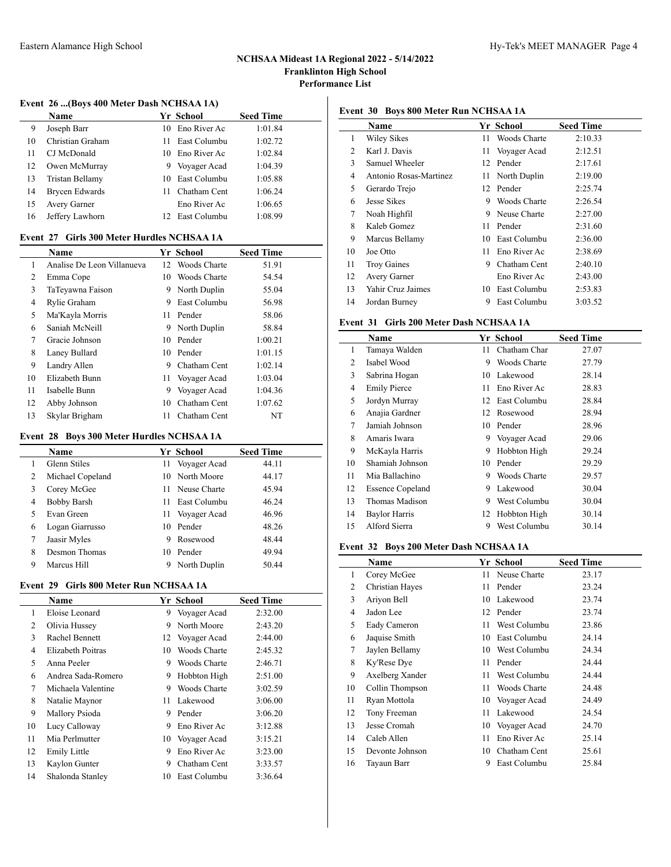$\frac{1}{2}$ 

## **Event 26 ...(Boys 400 Meter Dash NCHSAA 1A)**

|    | Name             |    | Yr School       | <b>Seed Time</b> |
|----|------------------|----|-----------------|------------------|
| 9  | Joseph Barr      |    | 10 Eno River Ac | 1:01.84          |
| 10 | Christian Graham | 11 | East Columbu    | 1:02.72          |
| 11 | CJ McDonald      | 10 | Eno River Ac    | 1:02.84          |
| 12 | Owen McMurray    | 9  | Voyager Acad    | 1:04.39          |
| 13 | Tristan Bellamy  | 10 | East Columbu    | 1:05.88          |
| 14 | Brycen Edwards   |    | Chatham Cent    | 1:06.24          |
| 15 | Avery Garner     |    | Eno River Ac    | 1:06.65          |
| 16 | Jeffery Lawhorn  |    | 12 East Columbu | 1:08.99          |

## **Event 27 Girls 300 Meter Hurdles NCHSAA 1A**

|    | <b>Name</b>                |    | Yr School       | <b>Seed Time</b> |  |
|----|----------------------------|----|-----------------|------------------|--|
| 1  | Analise De Leon Villanueva |    | 12 Woods Charte | 51.91            |  |
| 2  | Emma Cope                  | 10 | Woods Charte    | 54.54            |  |
| 3  | TaTeyawna Faison           | 9  | North Duplin    | 55.04            |  |
| 4  | Rylie Graham               | 9  | East Columbu    | 56.98            |  |
| 5  | Ma'Kayla Morris            | 11 | Pender          | 58.06            |  |
| 6  | Saniah McNeill             | 9  | North Duplin    | 58.84            |  |
| 7  | Gracie Johnson             | 10 | Pender          | 1:00.21          |  |
| 8  | Laney Bullard              |    | 10 Pender       | 1:01.15          |  |
| 9  | Landry Allen               | 9  | Chatham Cent    | 1:02.14          |  |
| 10 | Elizabeth Bunn             |    | 11 Voyager Acad | 1:03.04          |  |
| 11 | Isabelle Bunn              | 9  | Voyager Acad    | 1:04.36          |  |
| 12 | Abby Johnson               | 10 | Chatham Cent    | 1:07.62          |  |
| 13 | Skylar Brigham             | 11 | Chatham Cent    | NT               |  |

## **Event 28 Boys 300 Meter Hurdles NCHSAA 1A**

|   | Name               |    | Yr School       | <b>Seed Time</b> |
|---|--------------------|----|-----------------|------------------|
|   | Glenn Stiles       |    | 11 Voyager Acad | 44.11            |
| 2 | Michael Copeland   |    | 10 North Moore  | 44.17            |
| 3 | Corey McGee        |    | 11 Neuse Charte | 45.94            |
| 4 | <b>Bobby Barsh</b> | 11 | East Columbu    | 46.24            |
| 5 | Evan Green         |    | 11 Voyager Acad | 46.96            |
| 6 | Logan Giarrusso    |    | 10 Pender       | 48.26            |
| 7 | Jaasir Myles       | 9  | Rosewood        | 48.44            |
| 8 | Desmon Thomas      |    | 10 Pender       | 49.94            |
| 9 | Marcus Hill        | 9  | North Duplin    | 50.44            |

## **Event 29 Girls 800 Meter Run NCHSAA 1A**

|    | Name                |     | <b>Yr School</b> | <b>Seed Time</b> |
|----|---------------------|-----|------------------|------------------|
| 1  | Eloise Leonard      | 9   | Voyager Acad     | 2:32.00          |
| 2  | Olivia Hussey       | 9   | North Moore      | 2:43.20          |
| 3  | Rachel Bennett      |     | 12 Voyager Acad  | 2:44.00          |
| 4  | Elizabeth Poitras   | 10  | Woods Charte     | 2:45.32          |
| 5  | Anna Peeler         | 9   | Woods Charte     | 2:46.71          |
| 6  | Andrea Sada-Romero  | 9   | Hobbton High     | 2:51.00          |
| 7  | Michaela Valentine  | 9   | Woods Charte     | 3:02.59          |
| 8  | Natalie Maynor      | 11. | Lakewood         | 3:06.00          |
| 9  | Mallory Psioda      | 9   | Pender           | 3:06.20          |
| 10 | Lucy Calloway       | 9   | Eno River Ac     | 3:12.88          |
| 11 | Mia Perlmutter      |     | 10 Voyager Acad  | 3:15.21          |
| 12 | <b>Emily Little</b> | 9   | Eno River Ac     | 3:23.00          |
| 13 | Kaylon Gunter       | 9   | Chatham Cent     | 3:33.57          |
| 14 | Shalonda Stanley    | 10  | East Columbu     | 3:36.64          |
|    |                     |     |                  |                  |

## **Event 30 Boys 800 Meter Run NCHSAA 1A**

|                | <b>Name</b>            |    | Yr School    | <b>Seed Time</b> |
|----------------|------------------------|----|--------------|------------------|
| 1              | Wiley Sikes            | 11 | Woods Charte | 2:10.33          |
| 2              | Karl J. Davis          | 11 | Voyager Acad | 2:12.51          |
| 3              | Samuel Wheeler         |    | 12 Pender    | 2:17.61          |
| $\overline{4}$ | Antonio Rosas-Martinez | 11 | North Duplin | 2:19.00          |
| 5              | Gerardo Trejo          |    | 12 Pender    | 2:25.74          |
| 6              | <b>Jesse Sikes</b>     | 9  | Woods Charte | 2:26.54          |
| 7              | Noah Highfil           | 9  | Neuse Charte | 2:27.00          |
| 8              | Kaleb Gomez            | 11 | Pender       | 2:31.60          |
| 9              | Marcus Bellamy         | 10 | East Columbu | 2:36.00          |
| 10             | Joe Otto               | 11 | Eno River Ac | 2:38.69          |
| 11             | <b>Troy Gaines</b>     | 9  | Chatham Cent | 2:40.10          |
| 12             | Avery Garner           |    | Eno River Ac | 2:43.00          |
| 13             | Yahir Cruz Jaimes      | 10 | East Columbu | 2:53.83          |
| 14             | Jordan Burney          | 9  | East Columbu | 3:03.52          |

## **Event 31 Girls 200 Meter Dash NCHSAA 1A**

|    | <b>Name</b>             |    | Yr School    | <b>Seed Time</b> |
|----|-------------------------|----|--------------|------------------|
| 1  | Tamaya Walden           | 11 | Chatham Char | 27.07            |
| 2  | Isabel Wood             | 9  | Woods Charte | 27.79            |
| 3  | Sabrina Hogan           | 10 | Lakewood     | 28.14            |
| 4  | <b>Emily Pierce</b>     | 11 | Eno River Ac | 28.83            |
| 5  | Jordyn Murray           | 12 | East Columbu | 28.84            |
| 6  | Anajia Gardner          | 12 | Rosewood     | 28.94            |
| 7  | Jamiah Johnson          | 10 | Pender       | 28.96            |
| 8  | Amaris Iwara            | 9  | Voyager Acad | 29.06            |
| 9  | McKayla Harris          | 9  | Hobbton High | 29.24            |
| 10 | Shamiah Johnson         | 10 | Pender       | 29.29            |
| 11 | Mia Ballachino          | 9  | Woods Charte | 29.57            |
| 12 | <b>Essence Copeland</b> | 9  | Lakewood     | 30.04            |
| 13 | Thomas Madison          | 9  | West Columbu | 30.04            |
| 14 | <b>Baylor Harris</b>    | 12 | Hobbton High | 30.14            |
| 15 | Alford Sierra           | 9  | West Columbu | 30.14            |

#### **Event 32 Boys 200 Meter Dash NCHSAA 1A**

|    | <b>Name</b>     |    | Yr School    | <b>Seed Time</b> |
|----|-----------------|----|--------------|------------------|
| 1  | Corey McGee     | 11 | Neuse Charte | 23.17            |
| 2  | Christian Hayes | 11 | Pender       | 23.24            |
| 3  | Ariyon Bell     | 10 | Lakewood     | 23.74            |
| 4  | Jadon Lee       | 12 | Pender       | 23.74            |
| 5  | Eady Cameron    | 11 | West Columbu | 23.86            |
| 6  | Jaquise Smith   | 10 | East Columbu | 24.14            |
| 7  | Jaylen Bellamy  | 10 | West Columbu | 24.34            |
| 8  | Ky'Rese Dye     | 11 | Pender       | 24.44            |
| 9  | Axelberg Xander | 11 | West Columbu | 24.44            |
| 10 | Collin Thompson | 11 | Woods Charte | 24.48            |
| 11 | Ryan Mottola    | 10 | Voyager Acad | 24.49            |
| 12 | Tony Freeman    | 11 | Lakewood     | 24.54            |
| 13 | Jesse Cromah    | 10 | Voyager Acad | 24.70            |
| 14 | Caleb Allen     | 11 | Eno River Ac | 25.14            |
| 15 | Devonte Johnson | 10 | Chatham Cent | 25.61            |
| 16 | Tayaun Barr     | 9  | East Columbu | 25.84            |